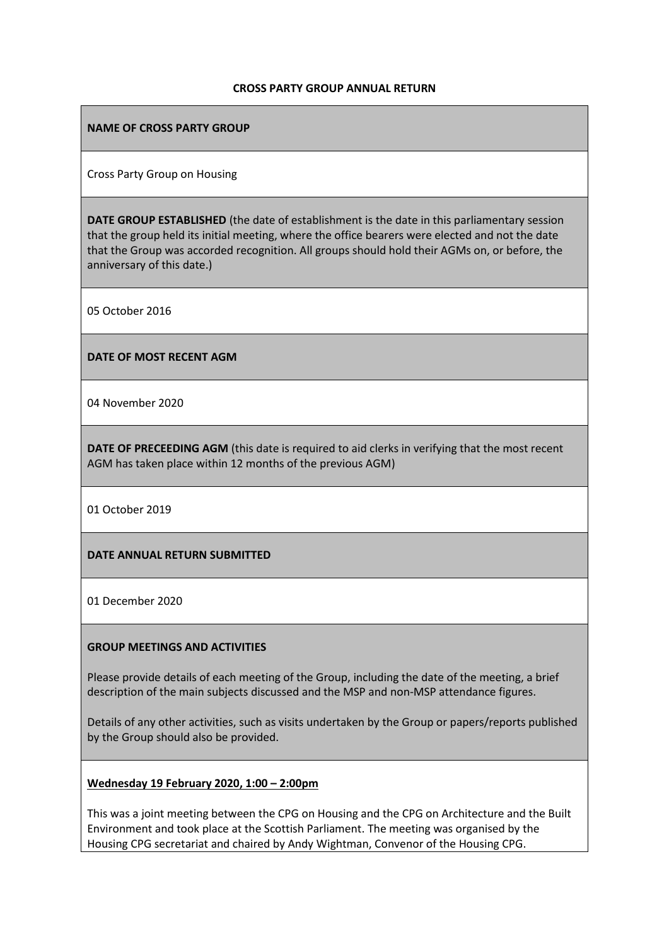#### **CROSS PARTY GROUP ANNUAL RETURN**

### **NAME OF CROSS PARTY GROUP**

Cross Party Group on Housing

**DATE GROUP ESTABLISHED** (the date of establishment is the date in this parliamentary session that the group held its initial meeting, where the office bearers were elected and not the date that the Group was accorded recognition. All groups should hold their AGMs on, or before, the anniversary of this date.)

05 October 2016

#### **DATE OF MOST RECENT AGM**

04 November 2020

**DATE OF PRECEEDING AGM** (this date is required to aid clerks in verifying that the most recent AGM has taken place within 12 months of the previous AGM)

01 October 2019

### **DATE ANNUAL RETURN SUBMITTED**

01 December 2020

### **GROUP MEETINGS AND ACTIVITIES**

Please provide details of each meeting of the Group, including the date of the meeting, a brief description of the main subjects discussed and the MSP and non-MSP attendance figures.

Details of any other activities, such as visits undertaken by the Group or papers/reports published by the Group should also be provided.

### **Wednesday 19 February 2020, 1:00 – 2:00pm**

This was a joint meeting between the CPG on Housing and the CPG on Architecture and the Built Environment and took place at the Scottish Parliament. The meeting was organised by the Housing CPG secretariat and chaired by Andy Wightman, Convenor of the Housing CPG.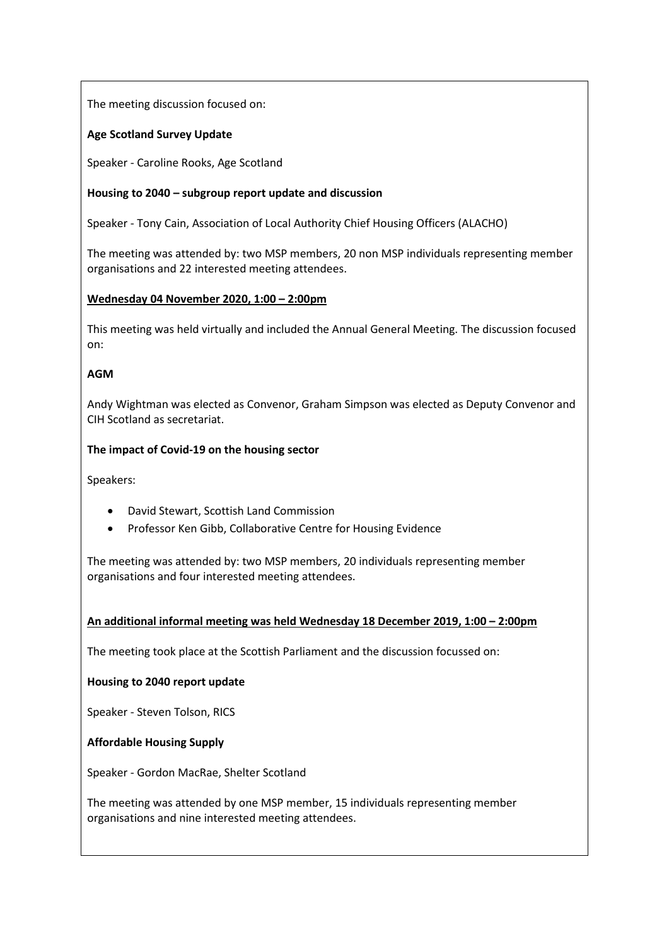The meeting discussion focused on:

# **Age Scotland Survey Update**

Speaker - Caroline Rooks, Age Scotland

# **Housing to 2040 – subgroup report update and discussion**

Speaker - Tony Cain, Association of Local Authority Chief Housing Officers (ALACHO)

The meeting was attended by: two MSP members, 20 non MSP individuals representing member organisations and 22 interested meeting attendees.

# **Wednesday 04 November 2020, 1:00 – 2:00pm**

This meeting was held virtually and included the Annual General Meeting. The discussion focused on:

# **AGM**

Andy Wightman was elected as Convenor, Graham Simpson was elected as Deputy Convenor and CIH Scotland as secretariat.

# **The impact of Covid-19 on the housing sector**

Speakers:

- David Stewart, Scottish Land Commission
- Professor Ken Gibb, Collaborative Centre for Housing Evidence

The meeting was attended by: two MSP members, 20 individuals representing member organisations and four interested meeting attendees.

### **An additional informal meeting was held Wednesday 18 December 2019, 1:00 – 2:00pm**

The meeting took place at the Scottish Parliament and the discussion focussed on:

### **Housing to 2040 report update**

Speaker - Steven Tolson, RICS

**Affordable Housing Supply**

Speaker - Gordon MacRae, Shelter Scotland

The meeting was attended by one MSP member, 15 individuals representing member organisations and nine interested meeting attendees.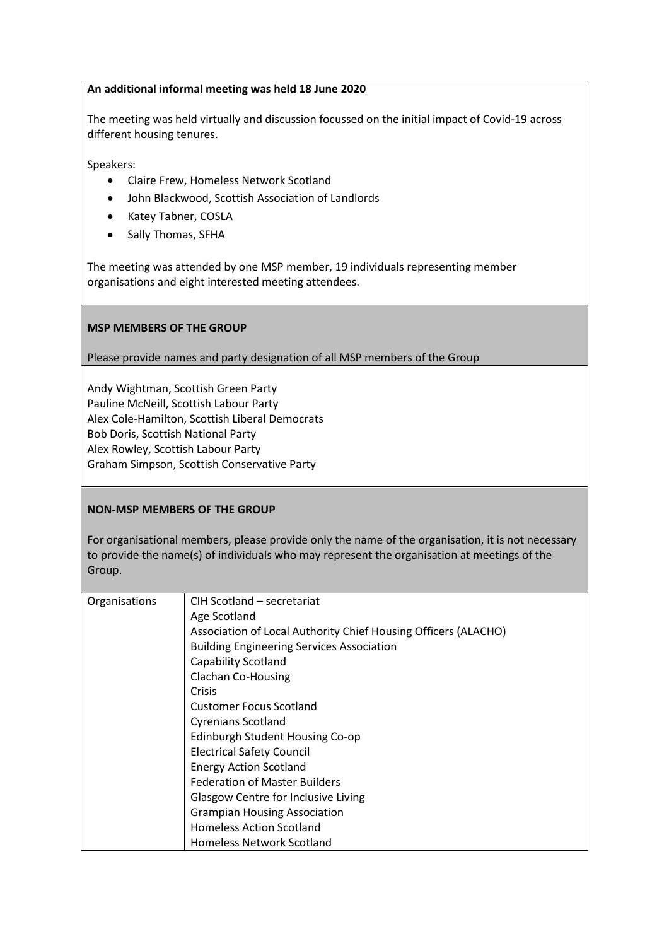### **An additional informal meeting was held 18 June 2020**

The meeting was held virtually and discussion focussed on the initial impact of Covid-19 across different housing tenures.

Speakers:

- Claire Frew, Homeless Network Scotland
- John Blackwood, Scottish Association of Landlords
- Katey Tabner, COSLA
- Sally Thomas, SFHA

The meeting was attended by one MSP member, 19 individuals representing member organisations and eight interested meeting attendees.

### **MSP MEMBERS OF THE GROUP**

### Please provide names and party designation of all MSP members of the Group

Andy Wightman, Scottish Green Party Pauline McNeill, Scottish Labour Party Alex Cole-Hamilton, Scottish Liberal Democrats Bob Doris, Scottish National Party Alex Rowley, Scottish Labour Party Graham Simpson, Scottish Conservative Party

### **NON-MSP MEMBERS OF THE GROUP**

For organisational members, please provide only the name of the organisation, it is not necessary to provide the name(s) of individuals who may represent the organisation at meetings of the Group.

| Organisations | CIH Scotland - secretariat                                     |
|---------------|----------------------------------------------------------------|
|               | Age Scotland                                                   |
|               | Association of Local Authority Chief Housing Officers (ALACHO) |
|               | <b>Building Engineering Services Association</b>               |
|               | Capability Scotland                                            |
|               | <b>Clachan Co-Housing</b>                                      |
|               | Crisis                                                         |
|               | <b>Customer Focus Scotland</b>                                 |
|               | <b>Cyrenians Scotland</b>                                      |
|               | Edinburgh Student Housing Co-op                                |
|               | <b>Electrical Safety Council</b>                               |
|               | <b>Energy Action Scotland</b>                                  |
|               | <b>Federation of Master Builders</b>                           |
|               | <b>Glasgow Centre for Inclusive Living</b>                     |
|               | <b>Grampian Housing Association</b>                            |
|               | <b>Homeless Action Scotland</b>                                |
|               | <b>Homeless Network Scotland</b>                               |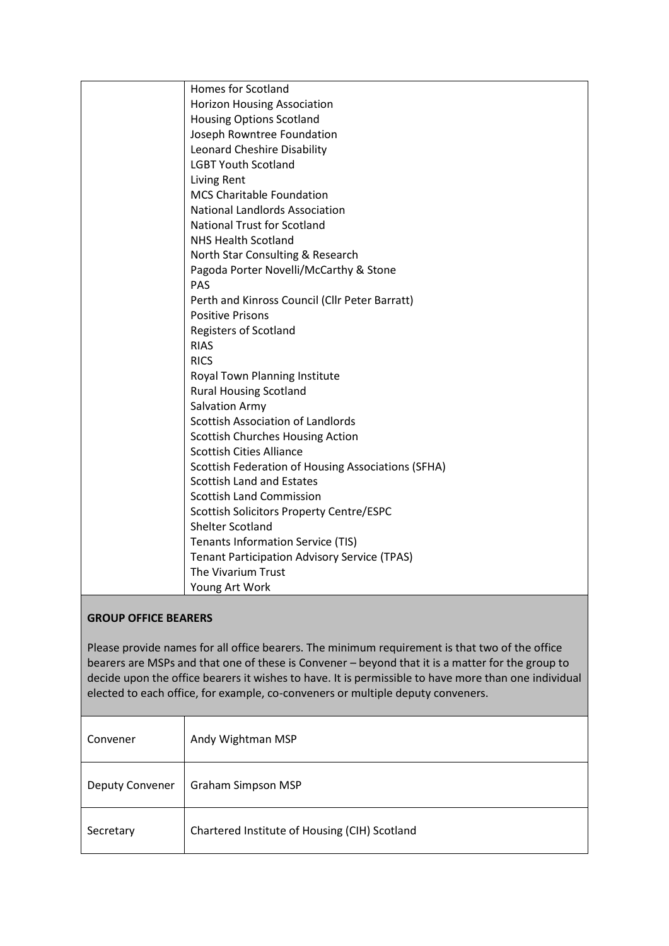|                             | Homes for Scotland                                                                             |  |
|-----------------------------|------------------------------------------------------------------------------------------------|--|
|                             | <b>Horizon Housing Association</b>                                                             |  |
|                             | <b>Housing Options Scotland</b>                                                                |  |
|                             | Joseph Rowntree Foundation                                                                     |  |
|                             | Leonard Cheshire Disability                                                                    |  |
|                             | <b>LGBT Youth Scotland</b>                                                                     |  |
|                             | Living Rent                                                                                    |  |
|                             | <b>MCS Charitable Foundation</b>                                                               |  |
|                             | <b>National Landlords Association</b>                                                          |  |
|                             | <b>National Trust for Scotland</b>                                                             |  |
|                             | <b>NHS Health Scotland</b>                                                                     |  |
|                             | North Star Consulting & Research                                                               |  |
|                             | Pagoda Porter Novelli/McCarthy & Stone                                                         |  |
|                             | <b>PAS</b>                                                                                     |  |
|                             | Perth and Kinross Council (Cllr Peter Barratt)                                                 |  |
|                             | <b>Positive Prisons</b>                                                                        |  |
|                             | <b>Registers of Scotland</b>                                                                   |  |
|                             | <b>RIAS</b>                                                                                    |  |
|                             | <b>RICS</b>                                                                                    |  |
|                             | Royal Town Planning Institute                                                                  |  |
|                             | <b>Rural Housing Scotland</b>                                                                  |  |
|                             | Salvation Army                                                                                 |  |
|                             | Scottish Association of Landlords                                                              |  |
|                             | <b>Scottish Churches Housing Action</b>                                                        |  |
|                             | <b>Scottish Cities Alliance</b>                                                                |  |
|                             | Scottish Federation of Housing Associations (SFHA)                                             |  |
|                             | <b>Scottish Land and Estates</b>                                                               |  |
|                             | <b>Scottish Land Commission</b>                                                                |  |
|                             | Scottish Solicitors Property Centre/ESPC                                                       |  |
|                             | <b>Shelter Scotland</b>                                                                        |  |
|                             | <b>Tenants Information Service (TIS)</b>                                                       |  |
|                             | <b>Tenant Participation Advisory Service (TPAS)</b>                                            |  |
|                             | The Vivarium Trust                                                                             |  |
|                             | Young Art Work                                                                                 |  |
|                             |                                                                                                |  |
| <b>GROUP OFFICE BEARERS</b> |                                                                                                |  |
|                             |                                                                                                |  |
|                             | Please provide names for all office begrers. The minimum requirement is that two of the office |  |

Please provide names for all office bearers. The minimum requirement is that two of the office bearers are MSPs and that one of these is Convener – beyond that it is a matter for the group to decide upon the office bearers it wishes to have. It is permissible to have more than one individual elected to each office, for example, co-conveners or multiple deputy conveners.

| Convener               | Andy Wightman MSP                             |
|------------------------|-----------------------------------------------|
| <b>Deputy Convener</b> | Graham Simpson MSP                            |
| Secretary              | Chartered Institute of Housing (CIH) Scotland |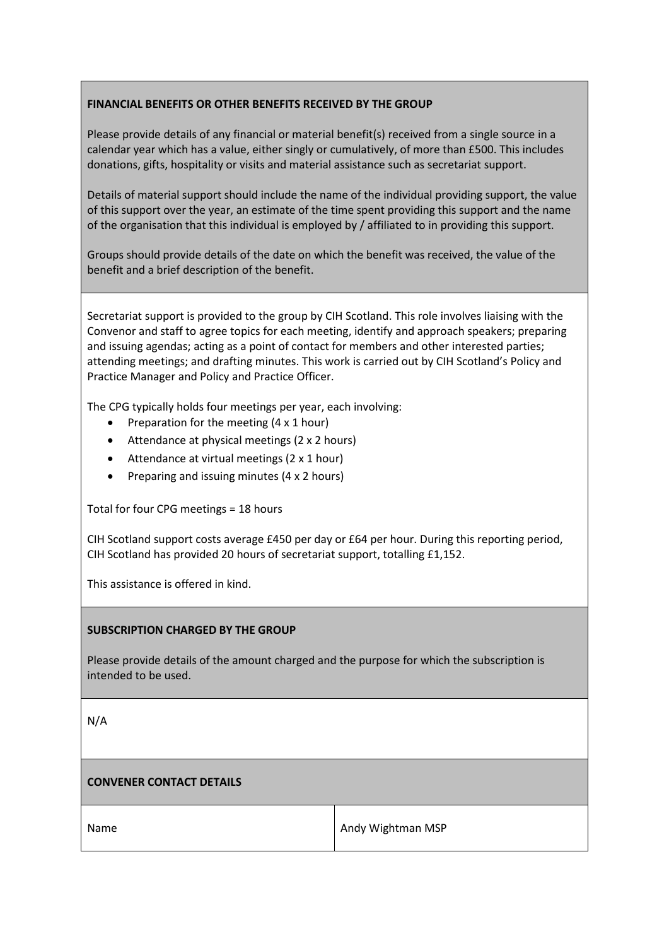# **FINANCIAL BENEFITS OR OTHER BENEFITS RECEIVED BY THE GROUP**

Please provide details of any financial or material benefit(s) received from a single source in a calendar year which has a value, either singly or cumulatively, of more than £500. This includes donations, gifts, hospitality or visits and material assistance such as secretariat support.

Details of material support should include the name of the individual providing support, the value of this support over the year, an estimate of the time spent providing this support and the name of the organisation that this individual is employed by / affiliated to in providing this support.

Groups should provide details of the date on which the benefit was received, the value of the benefit and a brief description of the benefit.

Secretariat support is provided to the group by CIH Scotland. This role involves liaising with the Convenor and staff to agree topics for each meeting, identify and approach speakers; preparing and issuing agendas; acting as a point of contact for members and other interested parties; attending meetings; and drafting minutes. This work is carried out by CIH Scotland's Policy and Practice Manager and Policy and Practice Officer.

The CPG typically holds four meetings per year, each involving:

- Preparation for the meeting (4 x 1 hour)
- Attendance at physical meetings (2 x 2 hours)
- Attendance at virtual meetings (2 x 1 hour)
- Preparing and issuing minutes (4 x 2 hours)

Total for four CPG meetings = 18 hours

CIH Scotland support costs average £450 per day or £64 per hour. During this reporting period, CIH Scotland has provided 20 hours of secretariat support, totalling £1,152.

This assistance is offered in kind.

### **SUBSCRIPTION CHARGED BY THE GROUP**

Please provide details of the amount charged and the purpose for which the subscription is intended to be used.

N/A

### **CONVENER CONTACT DETAILS**

Name Andy Wightman MSP